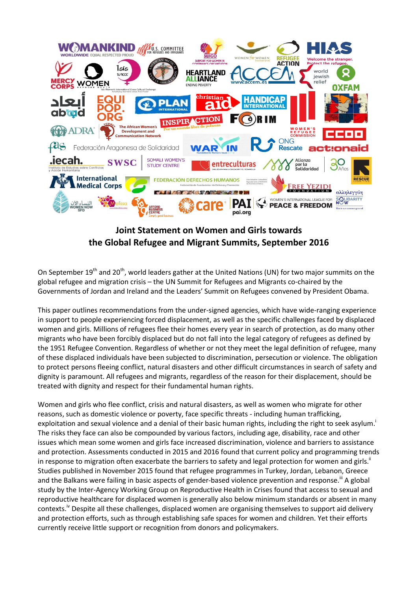

## **Joint Statement on Women and Girls towards the Global Refugee and Migrant Summits, September 2016**

On September  $19^{th}$  and  $20^{th}$ , world leaders gather at the United Nations (UN) for two major summits on the global refugee and migration crisis – the UN Summit for Refugees and Migrants co-chaired by the Governments of Jordan and Ireland and the Leaders' Summit on Refugees convened by President Obama.

This paper outlines recommendations from the under-signed agencies, which have wide-ranging experience in support to people experiencing forced displacement, as well as the specific challenges faced by displaced women and girls. Millions of refugees flee their homes every year in search of protection, as do many other migrants who have been forcibly displaced but do not fall into the legal category of refugees as defined by the 1951 Refugee Convention. Regardless of whether or not they meet the legal definition of refugee, many of these displaced individuals have been subjected to discrimination, persecution or violence. The obligation to protect persons fleeing conflict, natural disasters and other difficult circumstances in search of safety and dignity is paramount. All refugees and migrants, regardless of the reason for their displacement, should be treated with dignity and respect for their fundamental human rights.

Women and girls who flee conflict, crisis and natural disasters, as well as women who migrate for other reasons, such as domestic violence or poverty, face specific threats - including human trafficking, exploitation and sexual violence and a denial of their basic human rights, including the right to seek asylum. The risks they face can also be compounded by various factors, including age, disability, race and other issues which mean some women and girls face increased discrimination, violence and barriers to assistance and protection. Assessments conducted in 2015 and 2016 found that current policy and programming trends in response to migration often exacerbate the barriers to safety and legal protection for women and girls.<sup>"</sup> Studies published in November 2015 found that refugee programmes in Turkey, Jordan, Lebanon, Greece and the Balkans were failing in basic aspects of gender-based violence prevention and response.<sup>iii</sup> A global study by the Inter-Agency Working Group on Reproductive Health in Crises found that access to sexual and reproductive healthcare for displaced women is generally also below minimum standards or absent in many contexts.<sup>iv</sup> Despite all these challenges, displaced women are organising themselves to support aid delivery and protection efforts, such as through establishing safe spaces for women and children. Yet their efforts currently receive little support or recognition from donors and policymakers.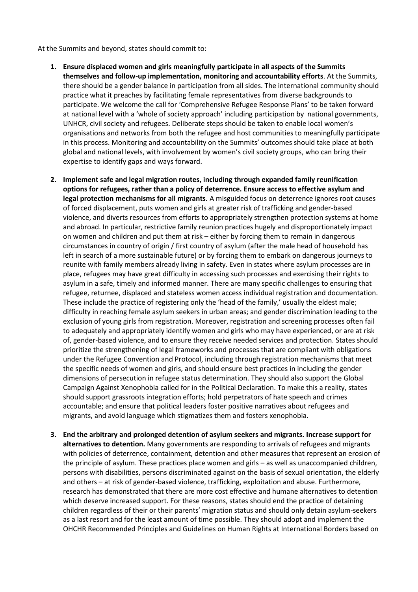At the Summits and beyond, states should commit to:

- **1. Ensure displaced women and girls meaningfully participate in all aspects of the Summits themselves and follow-up implementation, monitoring and accountability efforts**. At the Summits, there should be a gender balance in participation from all sides. The international community should practice what it preaches by facilitating female representatives from diverse backgrounds to participate. We welcome the call for 'Comprehensive Refugee Response Plans' to be taken forward at national level with a 'whole of society approach' including participation by national governments, UNHCR, civil society and refugees. Deliberate steps should be taken to enable local women's organisations and networks from both the refugee and host communities to meaningfully participate in this process. Monitoring and accountability on the Summits' outcomes should take place at both global and national levels, with involvement by women's civil society groups, who can bring their expertise to identify gaps and ways forward.
- **2. Implement safe and legal migration routes, including through expanded family reunification options for refugees, rather than a policy of deterrence. Ensure access to effective asylum and legal protection mechanisms for all migrants.** A misguided focus on deterrence ignores root causes of forced displacement, puts women and girls at greater risk of trafficking and gender-based violence, and diverts resources from efforts to appropriately strengthen protection systems at home and abroad. In particular, restrictive family reunion practices hugely and disproportionately impact on women and children and put them at risk – either by forcing them to remain in dangerous circumstances in country of origin / first country of asylum (after the male head of household has left in search of a more sustainable future) or by forcing them to embark on dangerous journeys to reunite with family members already living in safety. Even in states where asylum processes are in place, refugees may have great difficulty in accessing such processes and exercising their rights to asylum in a safe, timely and informed manner. There are many specific challenges to ensuring that refugee, returnee, displaced and stateless women access individual registration and documentation. These include the practice of registering only the 'head of the family,' usually the eldest male; difficulty in reaching female asylum seekers in urban areas; and gender discrimination leading to the exclusion of young girls from registration. Moreover, registration and screening processes often fail to adequately and appropriately identify women and girls who may have experienced, or are at risk of, gender-based violence, and to ensure they receive needed services and protection. States should prioritize the strengthening of legal frameworks and processes that are compliant with obligations under the Refugee Convention and Protocol, including through registration mechanisms that meet the specific needs of women and girls, and should ensure best practices in including the gender dimensions of persecution in refugee status determination. They should also support the Global Campaign Against Xenophobia called for in the Political Declaration. To make this a reality, states should support grassroots integration efforts; hold perpetrators of hate speech and crimes accountable; and ensure that political leaders foster positive narratives about refugees and migrants, and avoid language which stigmatizes them and fosters xenophobia.
- **3. End the arbitrary and prolonged detention of asylum seekers and migrants. Increase support for alternatives to detention.** Many governments are responding to arrivals of refugees and migrants with policies of deterrence, containment, detention and other measures that represent an erosion of the principle of asylum. These practices place women and girls – as well as unaccompanied children, persons with disabilities, persons discriminated against on the basis of sexual orientation, the elderly and others – at risk of gender-based violence, trafficking, exploitation and abuse. Furthermore, research has demonstrated that there are more cost effective and humane alternatives to detention which deserve increased support. For these reasons, states should end the practice of detaining children regardless of their or their parents' migration status and should only detain asylum-seekers as a last resort and for the least amount of time possible. They should adopt and implement the OHCHR Recommended Principles and Guidelines on Human Rights at International Borders based on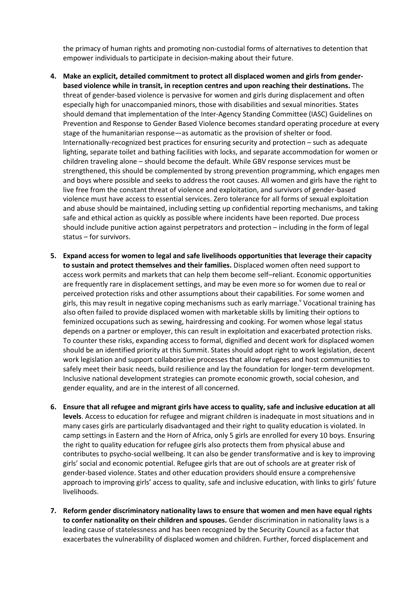the primacy of human rights and promoting non-custodial forms of alternatives to detention that empower individuals to participate in decision-making about their future.

- **4. Make an explicit, detailed commitment to protect all displaced women and girls from genderbased violence while in transit, in reception centres and upon reaching their destinations.** The threat of gender-based violence is pervasive for women and girls during displacement and often especially high for unaccompanied minors, those with disabilities and sexual minorities. States should demand that implementation of the Inter-Agency Standing Committee (IASC) Guidelines on Prevention and Response to Gender Based Violence becomes standard operating procedure at every stage of the humanitarian response—as automatic as the provision of shelter or food. Internationally-recognized best practices for ensuring security and protection – such as adequate lighting, separate toilet and bathing facilities with locks, and separate accommodation for women or children traveling alone – should become the default. While GBV response services must be strengthened, this should be complemented by strong prevention programming, which engages men and boys where possible and seeks to address the root causes. All women and girls have the right to live free from the constant threat of violence and exploitation, and survivors of gender-based violence must have access to essential services. Zero tolerance for all forms of sexual exploitation and abuse should be maintained, including setting up confidential reporting mechanisms, and taking safe and ethical action as quickly as possible where incidents have been reported. Due process should include punitive action against perpetrators and protection – including in the form of legal status – for survivors.
- **5. Expand access for women to legal and safe livelihoods opportunities that leverage their capacity to sustain and protect themselves and their families.** Displaced women often need support to access work permits and markets that can help them become self–reliant. Economic opportunities are frequently rare in displacement settings, and may be even more so for women due to real or perceived protection risks and other assumptions about their capabilities. For some women and girls, this may result in negative coping mechanisms such as early marriage.<sup>Y</sup> Vocational training has also often failed to provide displaced women with marketable skills by limiting their options to feminized occupations such as sewing, hairdressing and cooking. For women whose legal status depends on a partner or employer, this can result in exploitation and exacerbated protection risks. To counter these risks, expanding access to formal, dignified and decent work for displaced women should be an identified priority at this Summit. States should adopt right to work legislation, decent work legislation and support collaborative processes that allow refugees and host communities to safely meet their basic needs, build resilience and lay the foundation for longer-term development. Inclusive national development strategies can promote economic growth, social cohesion, and gender equality, and are in the interest of all concerned.
- **6. Ensure that all refugee and migrant girls have access to quality, safe and inclusive education at all levels**. Access to education for refugee and migrant children is inadequate in most situations and in many cases girls are particularly disadvantaged and their right to quality education is violated. In camp settings in Eastern and the Horn of Africa, only 5 girls are enrolled for every 10 boys. Ensuring the right to quality education for refugee girls also protects them from physical abuse and contributes to psycho-social wellbeing. It can also be gender transformative and is key to improving girls' social and economic potential. Refugee girls that are out of schools are at greater risk of gender-based violence. States and other education providers should ensure a comprehensive approach to improving girls' access to quality, safe and inclusive education, with links to girls' future livelihoods.
- **7. Reform gender discriminatory nationality laws to ensure that women and men have equal rights to confer nationality on their children and spouses.** Gender discrimination in nationality laws is a leading cause of statelessness and has been recognized by the Security Council as a factor that exacerbates the vulnerability of displaced women and children. Further, forced displacement and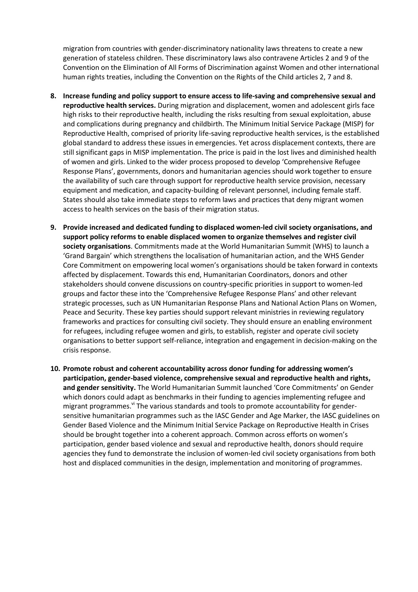migration from countries with gender-discriminatory nationality laws threatens to create a new generation of stateless children. These discriminatory laws also contravene Articles 2 and 9 of the Convention on the Elimination of All Forms of Discrimination against Women and other international human rights treaties, including the Convention on the Rights of the Child articles 2, 7 and 8.

- **8. Increase funding and policy support to ensure access to life-saving and comprehensive sexual and reproductive health services.** During migration and displacement, women and adolescent girls face high risks to their reproductive health, including the risks resulting from sexual exploitation, abuse and complications during pregnancy and childbirth. The Minimum Initial Service Package (MISP) for Reproductive Health, comprised of priority life-saving reproductive health services, is the established global standard to address these issues in emergencies. Yet across displacement contexts, there are still significant gaps in MISP implementation. The price is paid in the lost lives and diminished health of women and girls. Linked to the wider process proposed to develop 'Comprehensive Refugee Response Plans', governments, donors and humanitarian agencies should work together to ensure the availability of such care through support for reproductive health service provision, necessary equipment and medication, and capacity-building of relevant personnel, including female staff. States should also take immediate steps to reform laws and practices that deny migrant women access to health services on the basis of their migration status.
- **9. Provide increased and dedicated funding to displaced women-led civil society organisations, and support policy reforms to enable displaced women to organize themselves and register civil society organisations**. Commitments made at the World Humanitarian Summit (WHS) to launch a 'Grand Bargain' which strengthens the localisation of humanitarian action, and the WHS Gender Core Commitment on empowering local women's organisations should be taken forward in contexts affected by displacement. Towards this end, Humanitarian Coordinators, donors and other stakeholders should convene discussions on country-specific priorities in support to women-led groups and factor these into the 'Comprehensive Refugee Response Plans' and other relevant strategic processes, such as UN Humanitarian Response Plans and National Action Plans on Women, Peace and Security. These key parties should support relevant ministries in reviewing regulatory frameworks and practices for consulting civil society. They should ensure an enabling environment for refugees, including refugee women and girls, to establish, register and operate civil society organisations to better support self-reliance, integration and engagement in decision-making on the crisis response.
- **10. Promote robust and coherent accountability across donor funding for addressing women's participation, gender-based violence, comprehensive sexual and reproductive health and rights, and gender sensitivity.** The World Humanitarian Summit launched 'Core Commitments' on Gender which donors could adapt as benchmarks in their funding to agencies implementing refugee and migrant programmes.<sup>vi</sup> The various standards and tools to promote accountability for gendersensitive humanitarian programmes such as the IASC Gender and Age Marker, the IASC guidelines on Gender Based Violence and the Minimum Initial Service Package on Reproductive Health in Crises should be brought together into a coherent approach. Common across efforts on women's participation, gender based violence and sexual and reproductive health, donors should require agencies they fund to demonstrate the inclusion of women-led civil society organisations from both host and displaced communities in the design, implementation and monitoring of programmes.